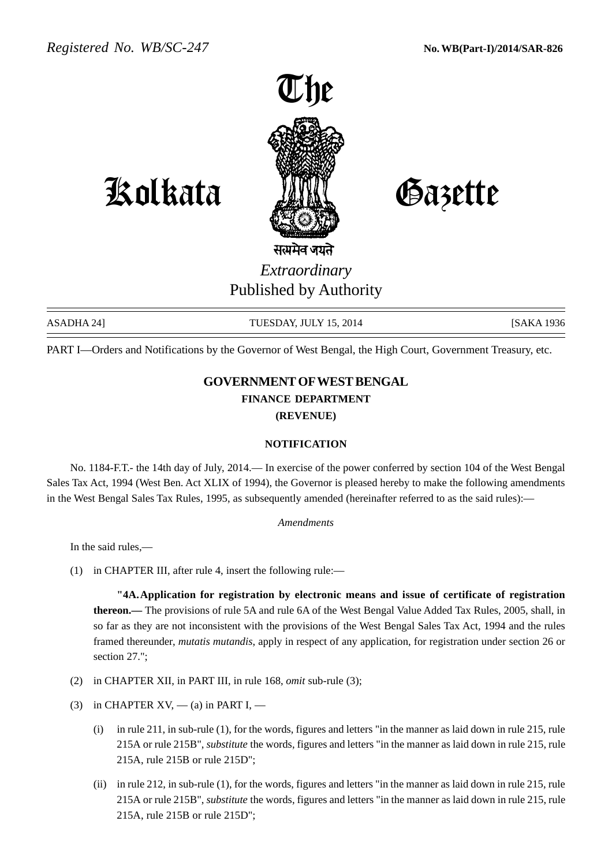

Kolkata Gazette

## सत्यमेव जयते *Extraordinary* Published by Authority

ASADHA 24] TUESDAY, JULY 15, 2014 [SAKA 1936] [SAKA 1936

PART I—Orders and Notifications by the Governor of West Bengal, the High Court, Government Treasury, etc.

## **GOVERNMENT OF WEST BENGAL FINANCE DEPARTMENT (REVENUE)**

## **NOTIFICATION**

No. 1184-F.T.- the 14th day of July, 2014.— In exercise of the power conferred by section 104 of the West Bengal Sales Tax Act, 1994 (West Ben. Act XLIX of 1994), the Governor is pleased hereby to make the following amendments in the West Bengal Sales Tax Rules, 1995, as subsequently amended (hereinafter referred to as the said rules):—

*Amendments*

In the said rules,—

(1) in CHAPTER III, after rule 4, insert the following rule:—

**"4A.Application for registration by electronic means and issue of certificate of registration thereon.—** The provisions of rule 5A and rule 6A of the West Bengal Value Added Tax Rules, 2005, shall, in so far as they are not inconsistent with the provisions of the West Bengal Sales Tax Act, 1994 and the rules framed thereunder, *mutatis mutandis*, apply in respect of any application, for registration under section 26 or section 27.":

- (2) in CHAPTER XII, in PART III, in rule 168, *omit* sub-rule (3);
- (3) in CHAPTER  $XY_1$ ,  $-$  (a) in PART I,  $-$ 
	- (i) in rule 211, in sub-rule (1), for the words, figures and letters "in the manner as laid down in rule 215, rule 215A or rule 215B", *substitute* the words, figures and letters "in the manner as laid down in rule 215, rule 215A, rule 215B or rule 215D";
	- (ii) in rule 212, in sub-rule (1), for the words, figures and letters "in the manner as laid down in rule 215, rule 215A or rule 215B", *substitute* the words, figures and letters "in the manner as laid down in rule 215, rule 215A, rule 215B or rule 215D";